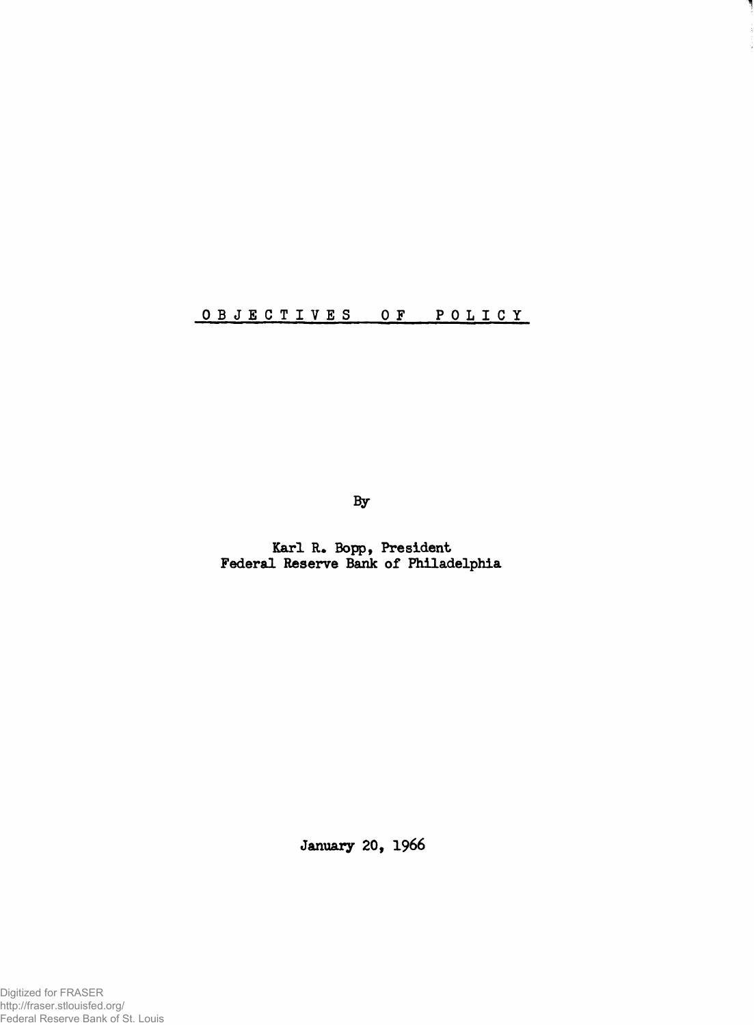# **OBJECTIVES OF POLICY**

**3y**

**Karl R. Bopp, President Federal Reserve Bank of Philadelphia**

**January 20, 1966**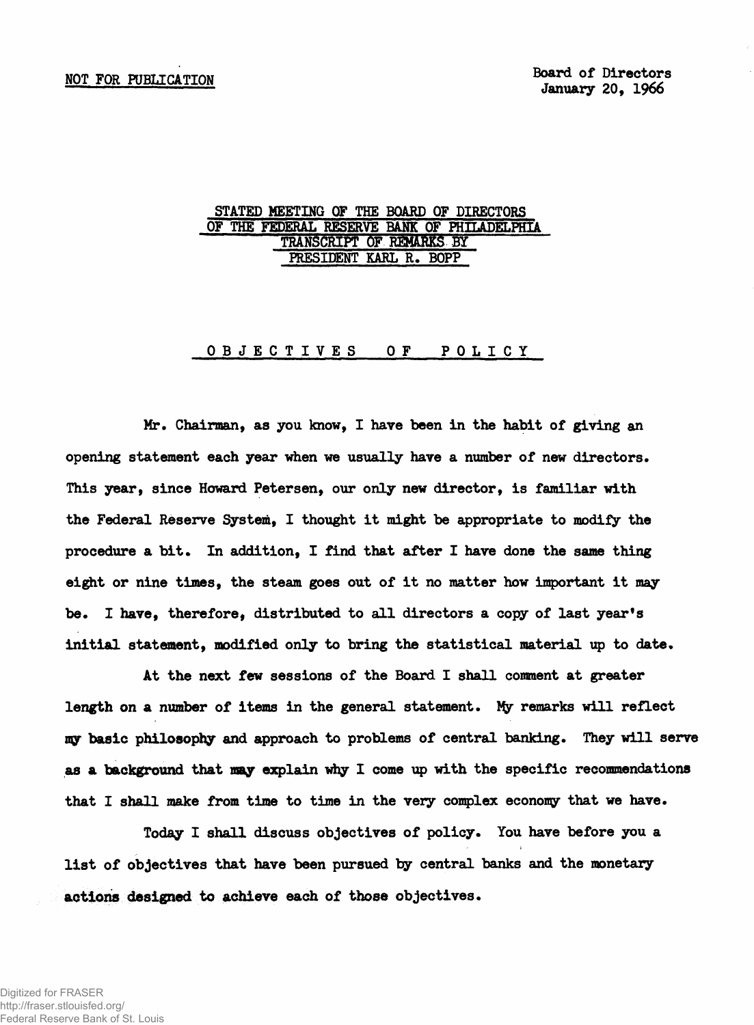### **STATED MEETING OF THE BOARD OF DIRECTORS OF THE FEDERAL RESERVE BANK OF PHILADELPHIA** TRANSCRIPT OF REMARKS BY **PRESIDENT KARL R. BOPP**

**O B J E C T I V E S OF P O L I C Y**

**Mr. Chairman, as you know, I have been in the habit of giving an opening statement each year when we usually have a number of new directors. This year, since Howard Petersen, our only new director, is familiar with the Federal Reserve System, I thought it might be appropriate to modify the procedure a bit. In addition, I find that after I have done the same thing eight or nine times, the steam goes out of it no matter how important it may be. I have, therefore, distributed to all directors a copy of last year's initial statement, modified only to bring the statistical material up to date.**

**At the next few sessions of the Board I shall comment at greater length on a number of items in the general statement. Ify remarks will reflect my basic philosophy and approach to problems of central banking. They will serve** as a background that may explain why I come up with the specific recommendations **that I shall make from time to time in the very complex economy that we have.**

**Today I shall discuss objectives of policy. You have before you a list of objectives that have been pursued by central banks and the monetary actions designed to achieve each of those objectives.**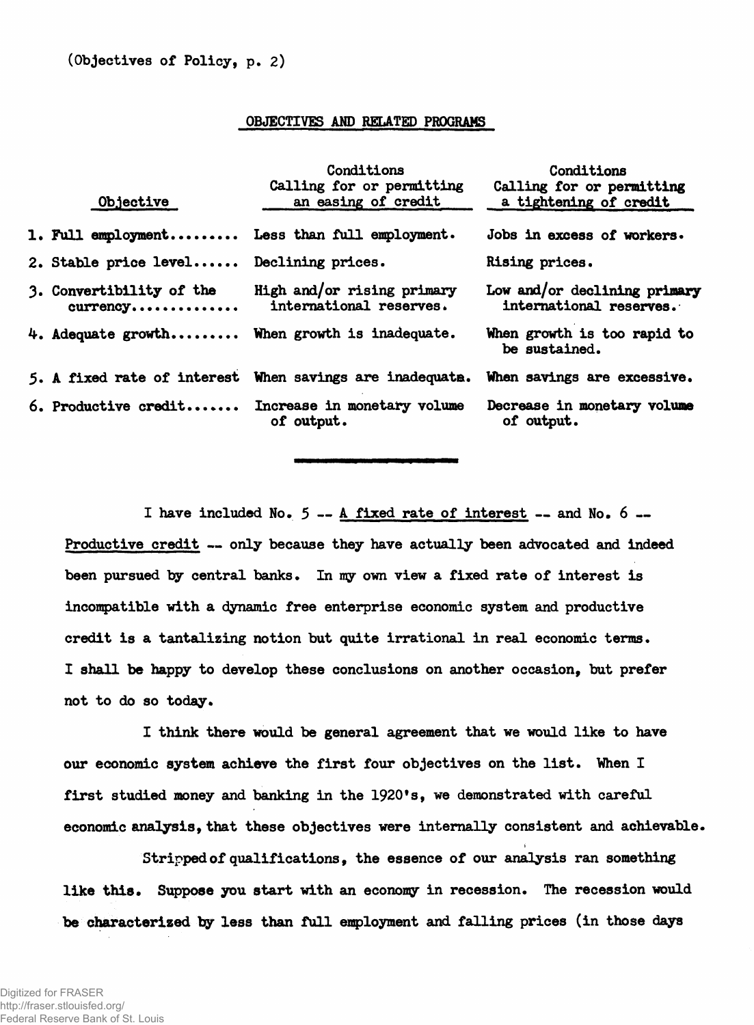#### **OBJECTIVES AND RELATED PROGRAMS**

| Objective                                            | Conditions<br>Calling for or permitting<br>an easing of credit                       | Conditions<br>Calling for or permitting<br>a tightening of credit |
|------------------------------------------------------|--------------------------------------------------------------------------------------|-------------------------------------------------------------------|
|                                                      | 1. Full employment Less than full employment.                                        | Jobs in excess of workers.                                        |
| 2. Stable price level Declining prices.              |                                                                                      | Rising prices.                                                    |
| 3. Convertibility of the<br>$curreacy \ldots \ldots$ | High and/or rising primary<br>international reserves.                                | Low and/or declining primary<br>international reserves.           |
|                                                      | 4. Adequate growth When growth is inadequate.                                        | When growth is too rapid to<br>be sustained.                      |
|                                                      | 5. A fixed rate of interest When savings are inadequate. When savings are excessive. |                                                                   |
|                                                      | 6. Productive credit Increase in monetary volume<br>of output.                       | Decrease in monetary volume<br>of output.                         |

**I have included No. 5 — A fixed rate of interest — and No. 6 — Productive credit — only because they have actually been advocated and indeed been pursued by central banks. In my own view a fixed rate of interest is incompatible with a dynamic free enterprise economic system and productive credit is a tantalizing notion but quite irrational in real economic terms. I shall be happy to develop these conclusions on another occasion, but prefer not to do so today.**

**I think there would be general agreement that we would like to have our economic system achieve the first four objectives on the list. When I** first studied money and banking in the 1920's, we demonstrated with careful **economic analysis, that these objectives were internally consistent and achievable.**

**Stripped of qualifications, the essence of our analysis ran something like this. Suppose you start with an economy in recession. The recession would be characterized by less than full employment and falling prices (in those days**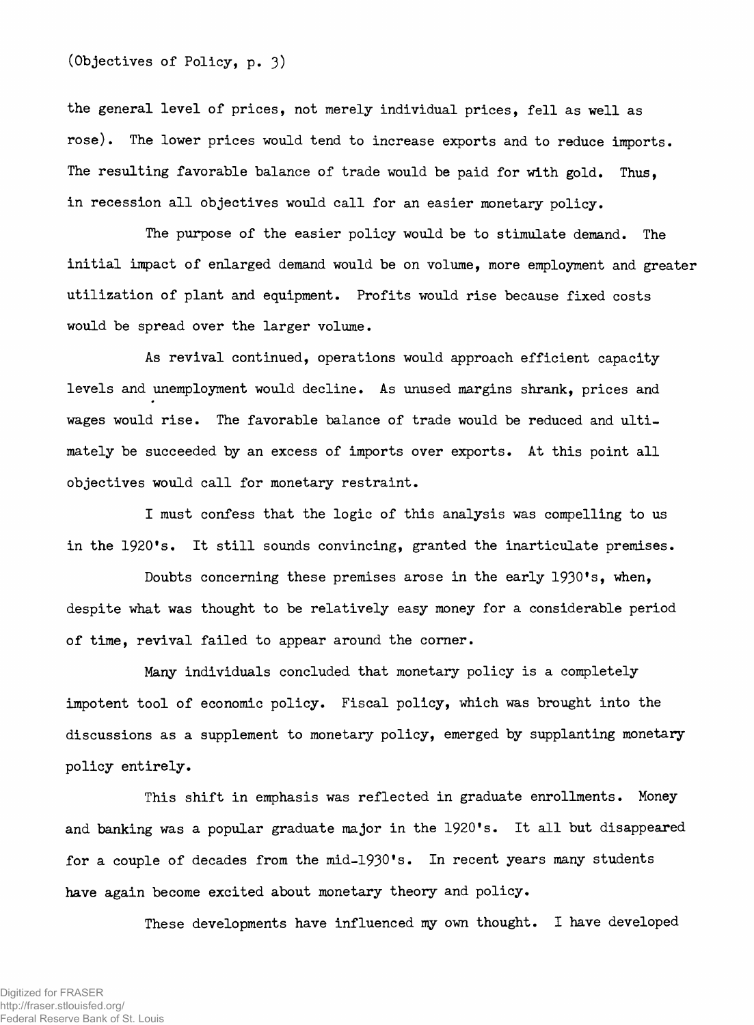**(Objectives of Policy, p. 3)**

the general level of prices, not merely individual prices, fell as well as rose). The lower prices would tend to increase exports and to reduce imports. The resulting favorable balance of trade would be paid for with gold. Thus, in recession all objectives would call for an easier monetary policy.

The purpose of the easier policy would be to stimulate demand. The initial impact of enlarged demand would be on volume, more employment and greater utilization of plant and equipment. Profits would rise because fixed costs would be spread over the larger volume.

As revival continued, operations would approach efficient capacity levels and unemployment would decline. As unused margins shrank, prices and wages would rise. The favorable balance of trade would be reduced and ultimately be succeeded by an excess of imports over exports. At this point all objectives would call for monetary restraint.

I must confess that the logic of this analysis was compelling to us in the 1920's. It still sounds convincing, granted the inarticulate premises.

Doubts concerning these premises arose in the early 1930's, when, despite what was thought to be relatively easy money for a considerable period of time, revival failed to appear around the corner.

Many individuals concluded that monetary policy is a completely impotent tool of economic policy. Fiscal policy, which was brought into the discussions as a supplement to monetary policy, emerged by supplanting monetary policy entirely.

This shift in emphasis was reflected in graduate enrollments. Money and banking was a popular graduate major in the 1920's. It all but disappeared for a couple of decades from the mid-1930's. In recent years many students have again become excited about monetary theory and policy.

These developments have influenced my own thought. I have developed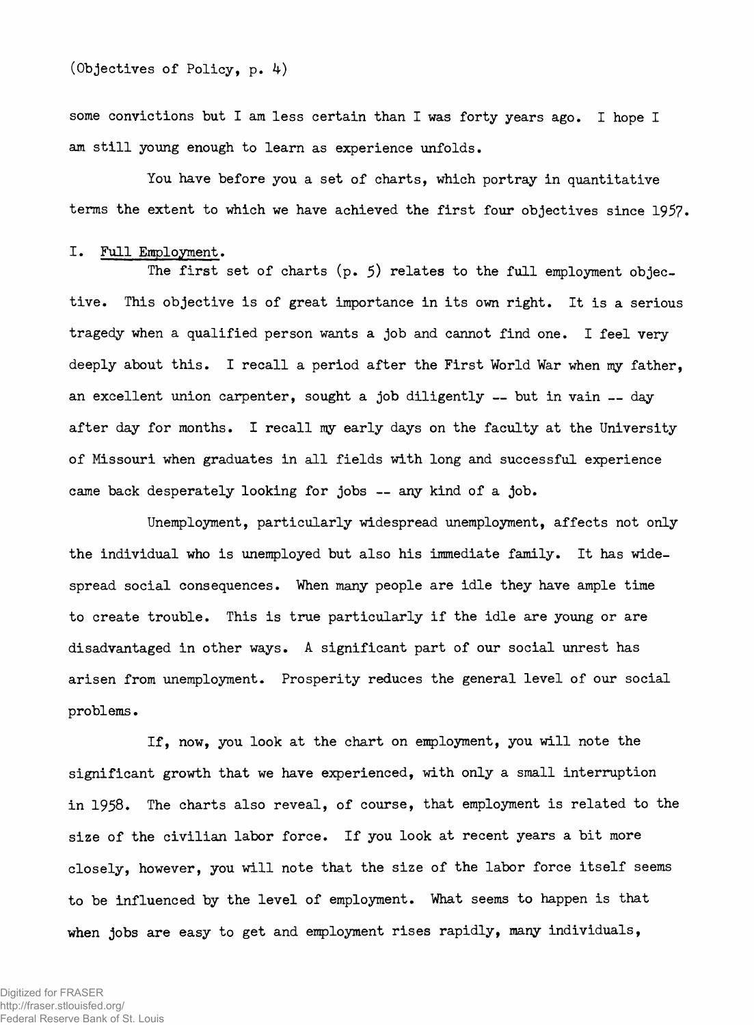**some convictions but I am less certain than I was forty years ago. I hope I am still young enough to learn as experience unfolds.**

**You have before you a set of charts, which portray in quantitative terms the extent to which we have achieved the first four objectives since 1957.**

#### **I. Full Employment.**

**The first set of charts (p. 5) relates to the full employment objective. This objective is of great importance in its own right. It is a serious tragedy when a qualified person wants a job and cannot find one. I feel very deeply about this. I recall a period after the First World War when my father, an excellent union carpenter, sought a job diligently — but in vain — day after day for months. I recall my early days on the faculty at the University of Missouri when graduates in all fields with long and successful experience came back desperately looking for jobs — any kind of a job.**

**Unemployment, particularly widespread unemployment, affects not only the individual who is unemployed but also his immediate family. It has widespread social consequences. When many people are idle they have ample time to create trouble. This is true particularly if the idle are young or are disadvantaged in other ways. A significant part of our social unrest has arisen from unemployment. Prosperity reduces the general level of our social problems.**

**If, now, you look at the chart on employment, you will note the significant growth that we have experienced, with only a small interruption in 1958. The charts also reveal, of course, that employment is related to the size of the civilian labor force. If you look at recent years a bit more closely, however, you will note that the size of the labor force itself seems to be influenced by the level of employment. What seems to happen is that when jobs are easy to get and employment rises rapidly, many individuals,**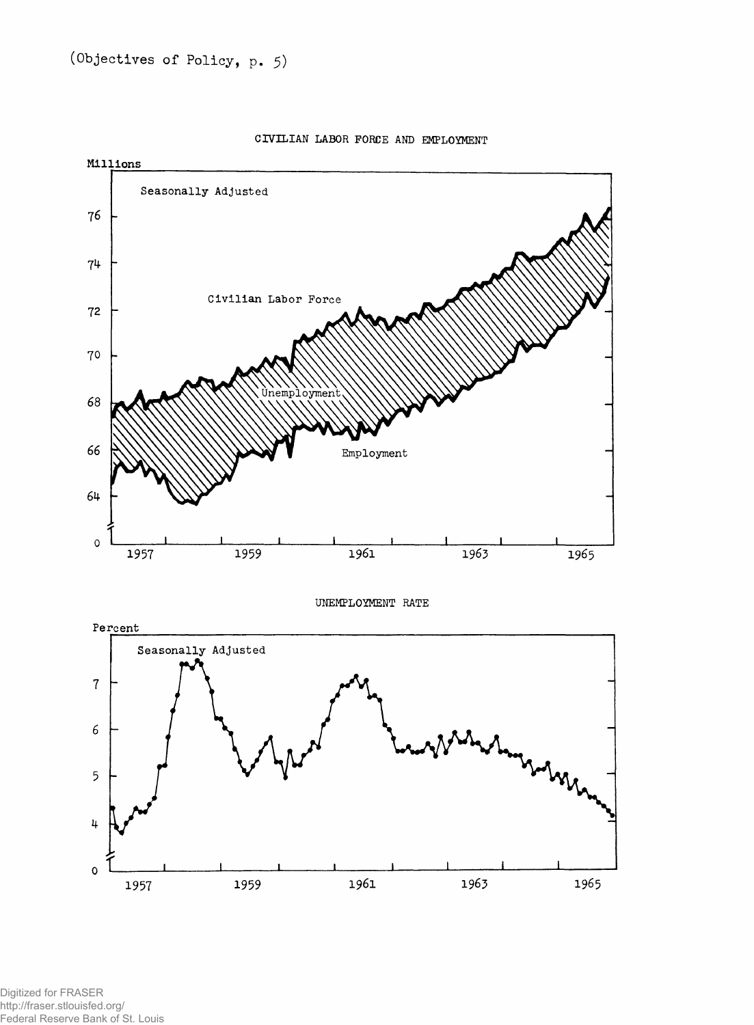

**CIVILIAN LABOR FORCE AND EMPLOYMENT**

Digitized for FRASER http://fraser.stlouisfed.org/ Federal Reserve Bank of St. Louis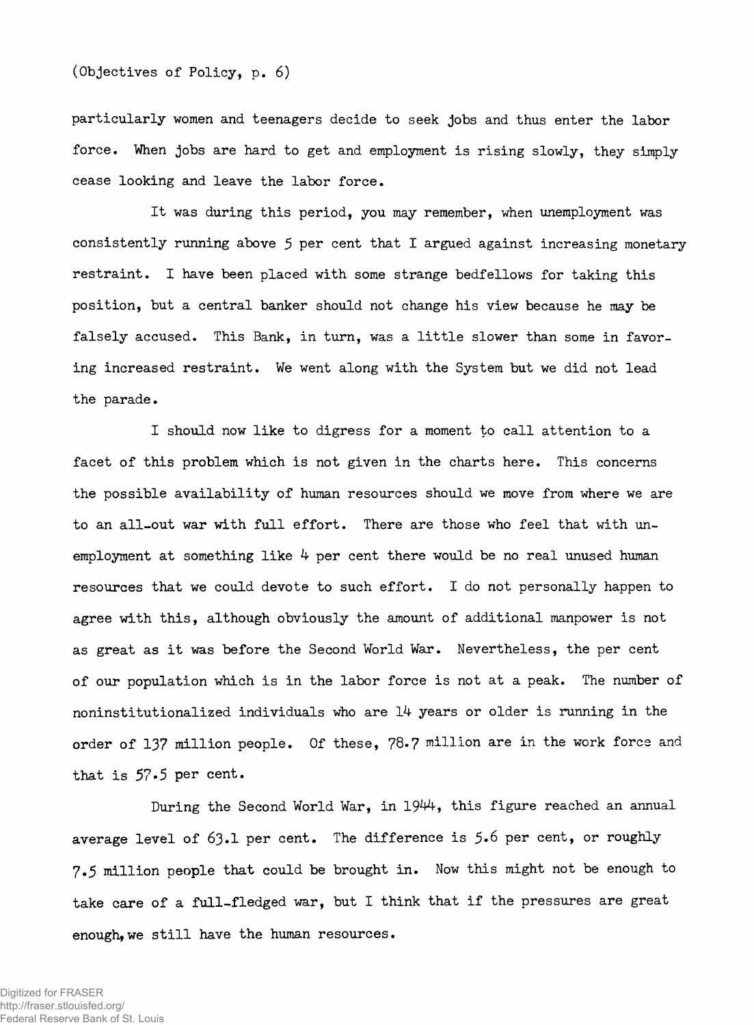**particularly women and teenagers decide to seek jobs and thus enter the labor force. When jobs are hard to get and employment is rising slowly, they simply cease looking and leave the labor force.**

**It was during this period, you may remember, when unemployment was consistently running above 5 per cent that I argued against increasing monetary restraint. I have been placed with some strange bedfellows for taking this position, but a central banker should not change his view because he may be falsely accused. This Bank, in turn, was a little slower than some in favoring increased restraint. We went along with the System but we did not lead the parade.**

**I should now like to digress for a moment to call attention to a facet of this problem which is not given in the charts here. This concerns the possible availability of human resources should we move from where we are to an all-out war with full effort. There are those who feel that with unemployment at something like 4 per cent there would be no real unused human resources that we could devote to such effort. I do not personally happen to agree with this, although obviously the amount of additional manpower is not as great as it was before the Second World War. Nevertheless, the per cent of our population which is in the labor force is not at a peak. The number of noninstitutionalized individuals who are 14 years or older is running in the order of 137 million people. Of these, 78.7 million are in the work force and** that is 57.5 per cent.

**During the Second World War, in 1944-, this figure reached an annual average level of 63.1 per cent. The difference is 5\*6 per cent, or roughly 7.5 million people that could be brought in. Now this might not be enough to take care of a full-fledged war, but I think that if the pressures are great enough,we still have the human resources.**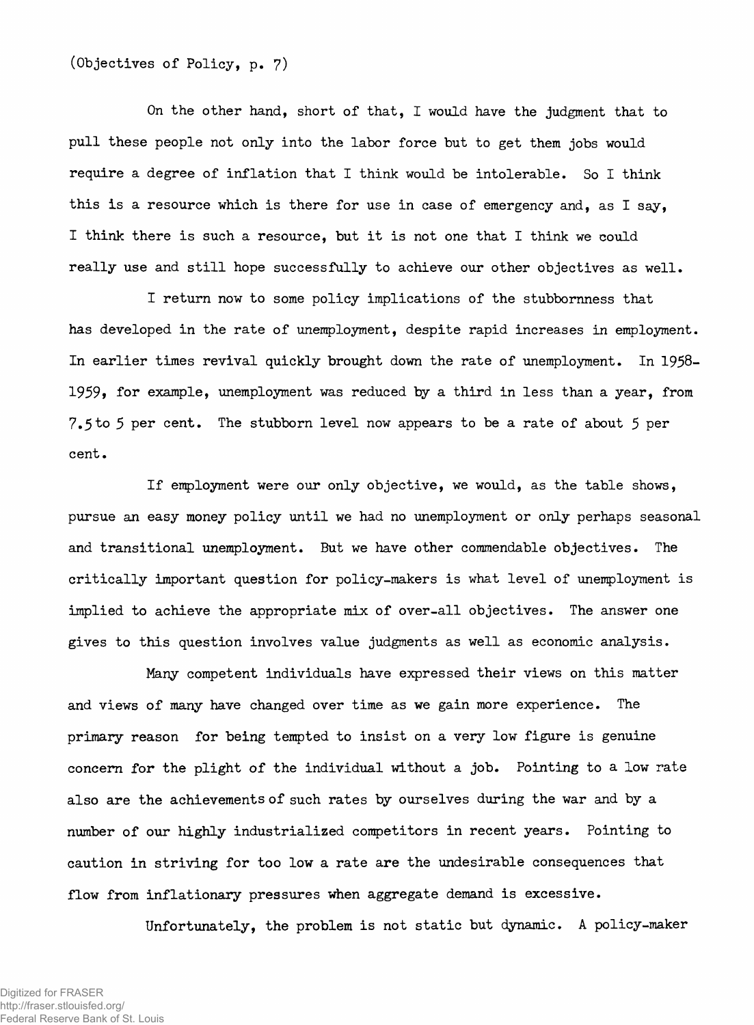# **(Objectives of Policy, p. 7)**

**On the other hand, short of that, I would have the judgment that to pull these people not only into the labor force but to get them jobs would require a degree of inflation that I think would be intolerable. So I think this is a resource which is there for use in case of emergency and, as I say, I think there is such a resource, but it is not one that I think we could really use and still hope successfully to achieve our other objectives as well.**

**I return now to some policy implications of the stubbornness that has developed in the rate of unemployment, despite rapid increases in employment. In earlier times revival quickly brought down the rate of unemployment. In 1958- 1959» for example, unemployment was reduced by a third in less than a year, from 7.5to 5 per cent. The stubborn level now appears to be a rate of about 5 per cent.**

**If employment were our only objective, we would, as the table shows, pursue an easy money policy until we had no unemployment or only perhaps seasonal and transitional unemployment. But we have other commendable objectives. The critically important question for policy-makers is what level of unemployment is implied to achieve the appropriate mix of over-all objectives. The answer one gives to this question involves value judgments as well as economic analysis.**

**Many competent individuals have expressed their views on this matter and views of many have changed over time as we gain more experience. The primary reason for being tempted to insist on a very low figure is genuine concern for the plight of the individual without a job. Pointing to a low rate also are the achievements of such rates by ourselves during the war and by a number of our highly industrialized competitors in recent years. Pointing to caution in striving for too low a rate are the undesirable consequences that flow from inflationary pressures when aggregate demand is excessive.**

**Unfortunately, the problem is not static but dynamic. A policy-maker**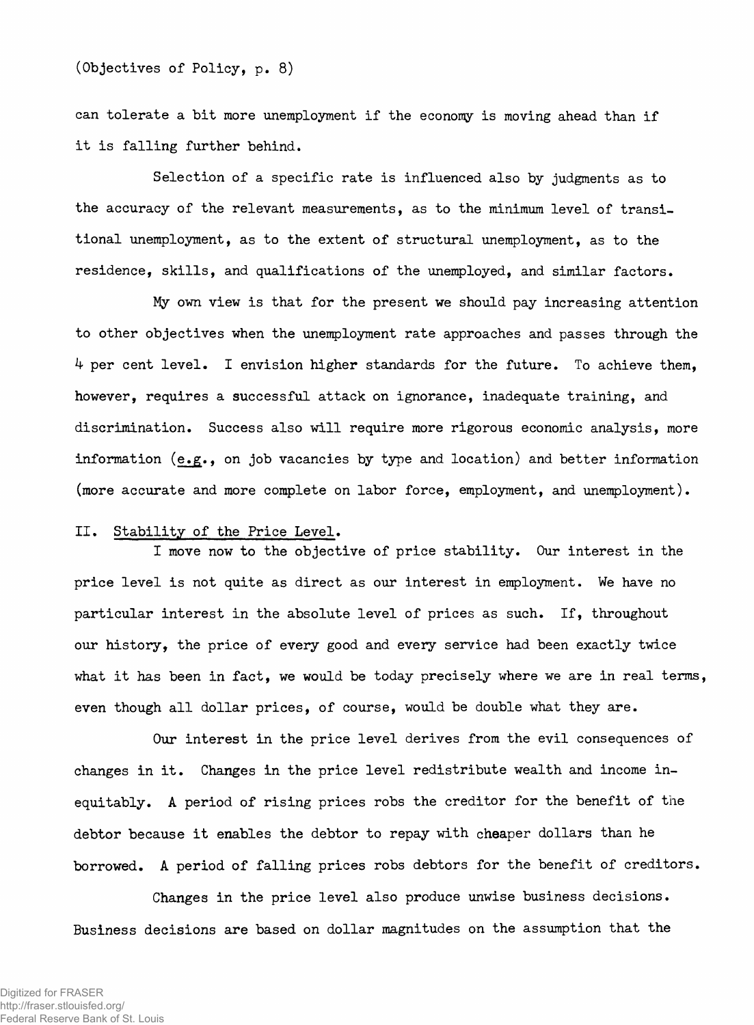**can tolerate a bit more unemployment if the economy is moving ahead than if it is falling further behind.**

**Selection of a specific rate is influenced also by judgments as to the accuracy of the relevant measurements, as to the minimum level of transitional unemployment, as to the extent of structural unemployment, as to the residence, skills, and qualifications of the unemployed, and similar factors.**

**My own view is that for the present we should pay increasing attention to other objectives when the unemployment rate approaches and passes through the 4 per cent level. I envision higher standards for the future. To achieve them, however, requires a successful attack on ignorance, inadequate training, and discrimination. Success also will require more rigorous economic analysis, more information (e.g., on job vacancies by type and location) and better information (more accurate and more complete on labor force, employment, and unemployment).**

## **II. Stability of the Price Level.**

**I move now to the objective of price stability. Our interest in the price level is not quite as direct as our interest in employment. We have no particular interest in the absolute level of prices as such. If, throughout our history, the price of every good and every service had been exactly twice what it has been in fact, we would be today precisely where we are in real terms, even though all dollar prices, of course, would be double what they are.**

**Our interest in the price level derives from the evil consequences of changes in it. Changes in the price level redistribute wealth and income inequitably. A period of rising prices robs the creditor for the benefit of the debtor because it enables the debtor to repay with cheaper dollars than he borrowed. A period of falling prices robs debtors for the benefit of creditors.**

**Changes in the price level also produce unwise business decisions. Business decisions are based on dollar magnitudes on the assumption that the**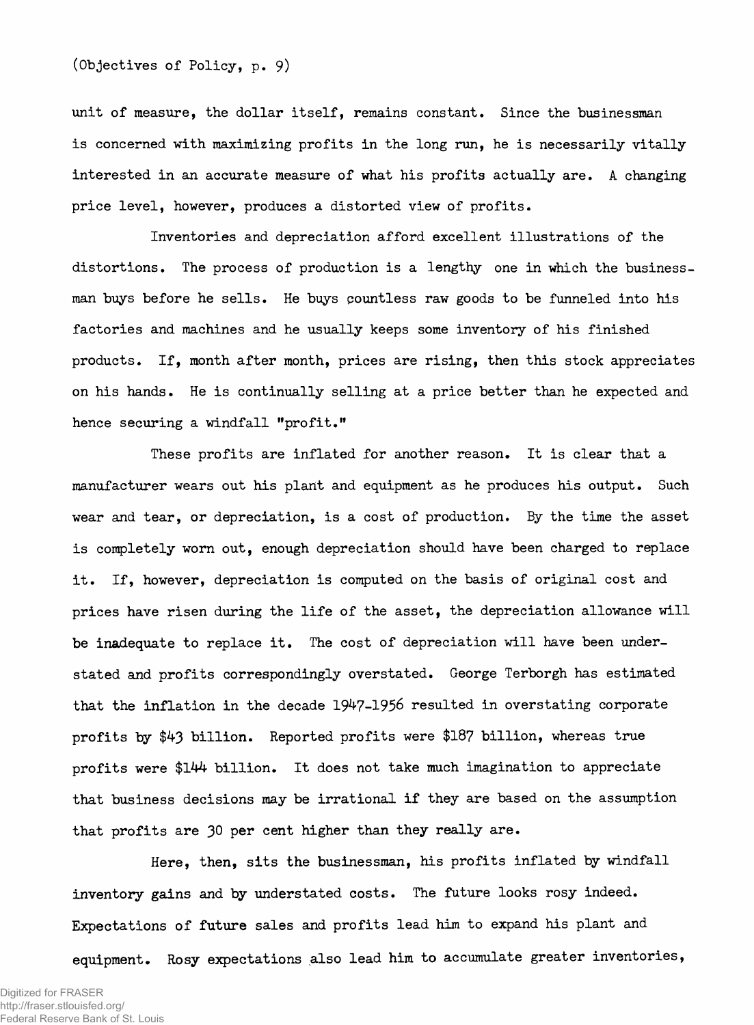**unit of measure, the dollar itself, remains constant. Since the businessman is concerned with maximizing profits in the long run, he is necessarily vitally interested in an accurate measure of what his profits actually are. A changing price level, however, produces a distorted view of profits.**

**Inventories and depreciation afford excellent illustrations of the distortions. The process of production is a lengthy one in which the businessman buys before he sells. He buys pountless raw goods to be funneled into his factories and machines and he usually keeps some inventory of his finished products. If, month after month, prices are rising, then this stock appreciates on his hands. He is continually selling at a price better than he expected and hence securing a windfall "profit."**

**These profits are inflated for another reason. It is clear that a manufacturer wears out his plant and equipment as he produces his output. Such wear and tear, or depreciation, is a cost of production. By the time the asset is completely worn out, enough depreciation should have been charged to replace it. If, however, depreciation is computed on the basis of original cost and prices have risen during the life of the asset, the depreciation allowance will be inadequate to replace it. The cost of depreciation will have been understated and profits correspondingly overstated. George Terborgh has estimated that the inflation in the decade 1947-1956 resulted in overstating corporate profits by \$43 billion. Reported profits were** \$187 **billion, whereas true profits were \$144 billion. It does not take much imagination to appreciate that business decisions may be irrational if they are based on the assumption that profits are 30 per cent higher than they really are.**

**Here, then, sits the businessman, his profits inflated by windfall inventory gains and by understated costs. The future looks rosy indeed. Expectations of future sales and profits lead him to expand his plant and equipment. Rosy expectations also lead him to accumulate greater inventories,**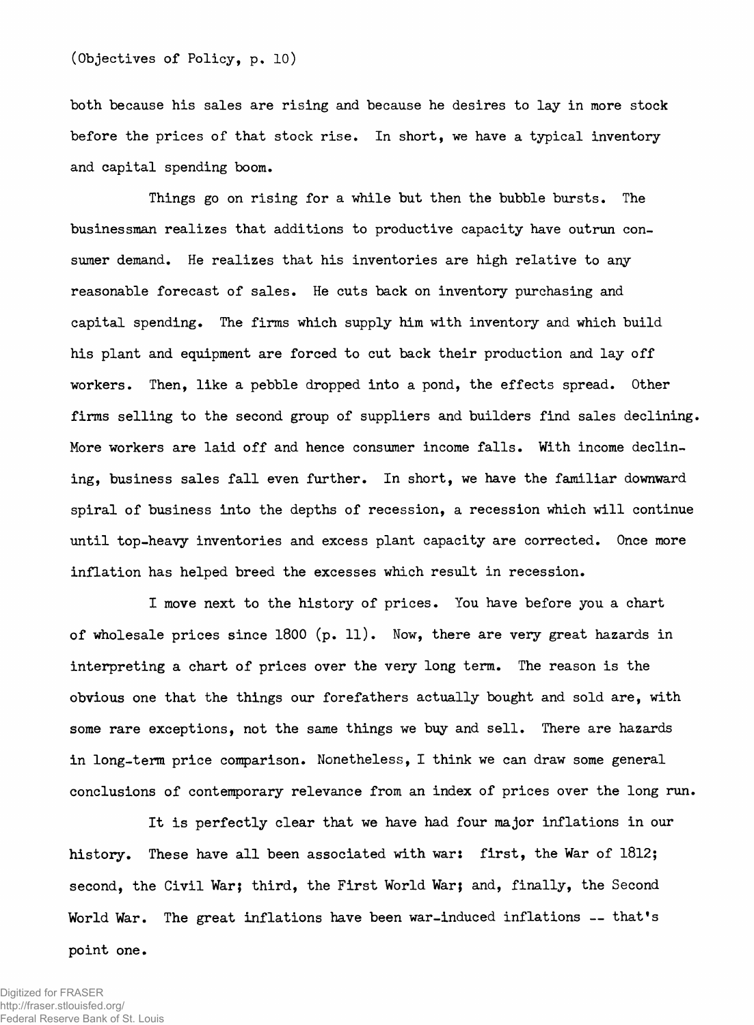**both because his sales are rising and because he desires to lay in more stock before the prices of that stock rise. In short, we have a typical inventory and capital spending boom.**

**Things go on rising for a while but then the bubble bursts. The businessman realizes that additions to productive capacity have outrun consumer demand. He realizes that his inventories are high relative to any reasonable forecast of sales. He cuts back on inventory purchasing and capital spending. The firms which supply him with inventory and which build his plant and equipment are forced to cut back their production and lay off workers. Then, like a pebble dropped into a pond, the effects spread. Other firms selling to the second group of suppliers and builders find sales declining. More workers are laid off and hence consumer income falls. With income declining, business sales fall even further. In short, we have the familiar downward spiral of business into the depths of recession, a recession which will continue until top-heavy inventories and excess plant capacity are corrected. Once more inflation has helped breed the excesses which result in recession.**

**I move next to the history of prices. You have before you a chart of wholesale prices since 1800 (p. 11). Now, there are very great hazards in interpreting a chart of prices over the very long term. The reason is the obvious one that the things our forefathers actually bought and sold are, with some rare exceptions, not the same things we buy and sell. There are hazards in long-term price comparison. Nonetheless, I think we can draw some general conclusions of contemporary relevance from an index of prices over the long run.**

**It is perfectly clear that we have had four major inflations in our history. These have all been associated with war: first, the War of 1812; second, the Civil War; third, the First World War; and, finally, the Second World War. The great inflations have been war-induced inflations — that's point one.**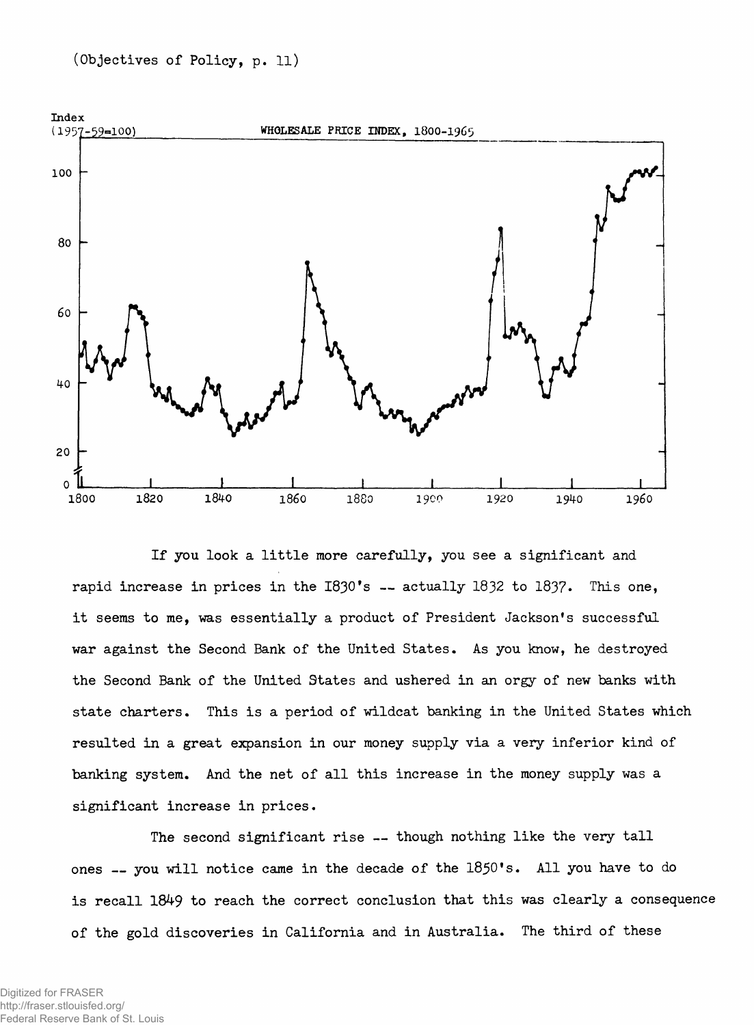

**If you look a little more carefully, you see a significant and rapid increase in prices in the I830\*s — actually 1832 to 183?. This one, it seems to me, was essentially a product of President Jackson's successful war against the Second Bank of the United States. As you know, he destroyed the Second Bank of the United States and ushered in an orgy of new banks with state charters. This is a period of wildcat banking in the United States which resulted in a great expansion in our money supply via a very inferior kind of banking system. And the net of all this increase in the money supply was a significant increase in prices.**

**The second significant rise — though nothing like the very tall ones — you will notice came in the decade of the 1850's. All you have to do is recall 1849 to reach the correct conclusion that this was clearly a consequence of the gold discoveries in California and in Australia. The third of these**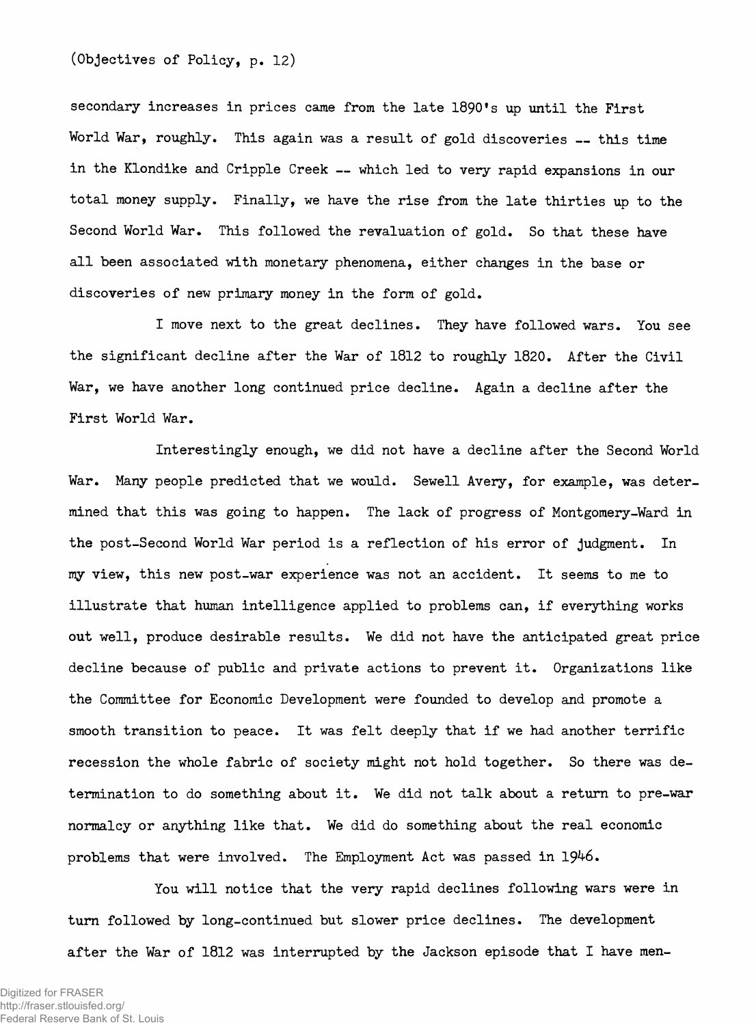**(Objectives of Policy, p. 12)**

**secondary increases in prices came from the late 1890's up until the First** World War, roughly. This again was a result of gold discoveries -- this time **in the Klondike and Cripple Creek — which led to very rapid expansions in our total money supply. Finally, we have the rise from the late thirties up to the Second World War. This followed the revaluation of gold. So that these have all been associated with monetary phenomena, either changes in the base or discoveries of new primary money in the form of gold.**

**I move next to the great declines. They have followed wars. You see the significant decline after the War of 1812 to roughly 1820. After the Civil War, we have another long continued price decline. Again a decline after the First World War.**

**Interestingly enough, we did not have a decline after the Second World War. Many people predicted that we would. Sewell Avery, for example, was determined that this was going to happen. The lack of progress of Montgomery-Ward in the post-Second World War period is a reflection of his error of judgment. In my view, this new post-war experience was not an accident. It seems to me to illustrate that human intelligence applied to problems can, if everything works out well, produce desirable results. We did not have the anticipated great price decline because of public and private actions to prevent it. Organizations like the Committee for Economic Development were founded to develop and promote a smooth transition to peace. It was felt deeply that if we had another terrific recession the whole fabric of society might not hold together. So there was determination to do something about it. We did not talk about a return to pre-war normalcy or anything like that. We did do something about the real economic problems that were involved. The Employment Act was passed in 1946.**

**You will notice that the very rapid declines following wars were in turn followed by long-continued but slower price declines. The development after the War of 1812 was interrupted by the Jackson episode that I have men-**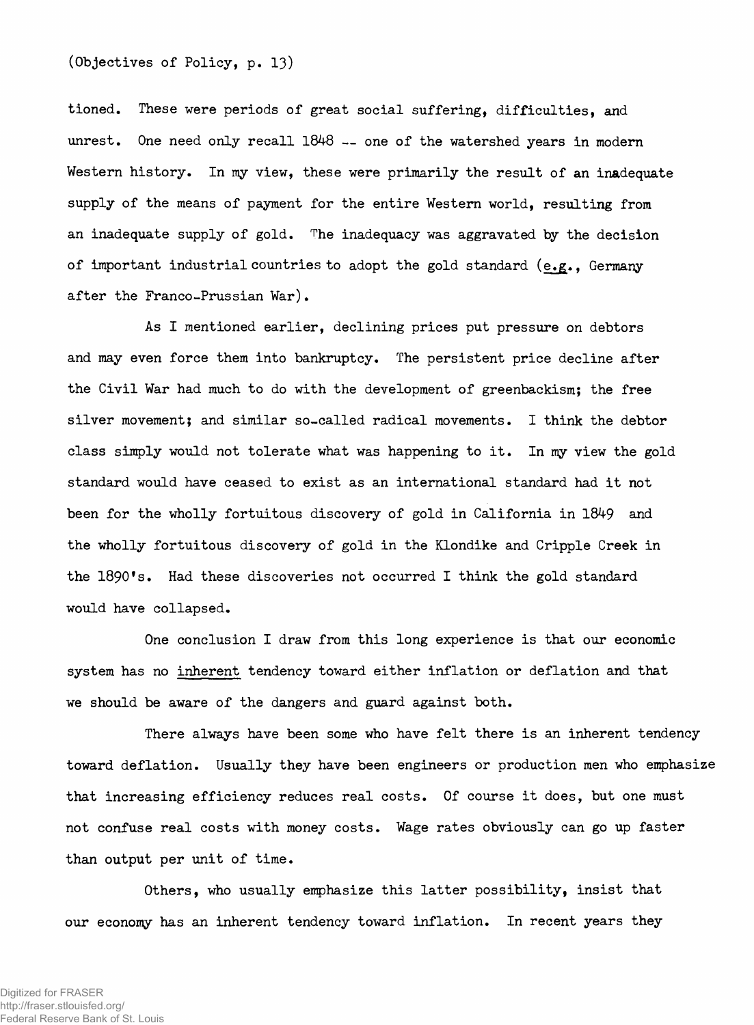### **(Objectives of Policy, p. 13)**

**tioned. These were periods of great social suffering, difficulties, and unrest. One need only recall 1848 — one of the watershed years in modern Western history. In my view, these were primarily the result of an inadequate supply of the means of payment for the entire Western world, resulting from an inadequate supply of gold. The inadequacy was aggravated by the decision of important industrial countries to adopt the gold standard (e.g., Germany after the Franco-Prussian War).**

**As I mentioned earlier, declining prices put pressure on debtors and may even force them into bankruptcy. The persistent price decline after the Civil War had much to do with the development of greenbackism; the free silver movement; and similar so-called radical movements. I think the debtor class simply would not tolerate what was happening to it. In my view the gold standard would have ceased to exist as an international standard had it not been for the wholly fortuitous discovery of gold in California in 1849 and the wholly fortuitous discovery of gold in the Klondike and Cripple Creek in the 1890\*s. Had these discoveries not occurred I think the gold standard would have collapsed.**

**One conclusion I draw from this long experience is that our economic system has no inherent tendency toward either inflation or deflation and that we should be aware of the dangers and guard against both.**

**There always have been some who have felt there is an inherent tendency toward deflation. Usually they have been engineers or production men who emphasize that increasing efficiency reduces real costs. Of course it does, but one must not confuse real costs with money costs. Wage rates obviously can go up faster than output per unit of time.**

**Others, who usually emphasize this latter possibility, insist that our economy has an inherent tendency toward inflation. In recent years they**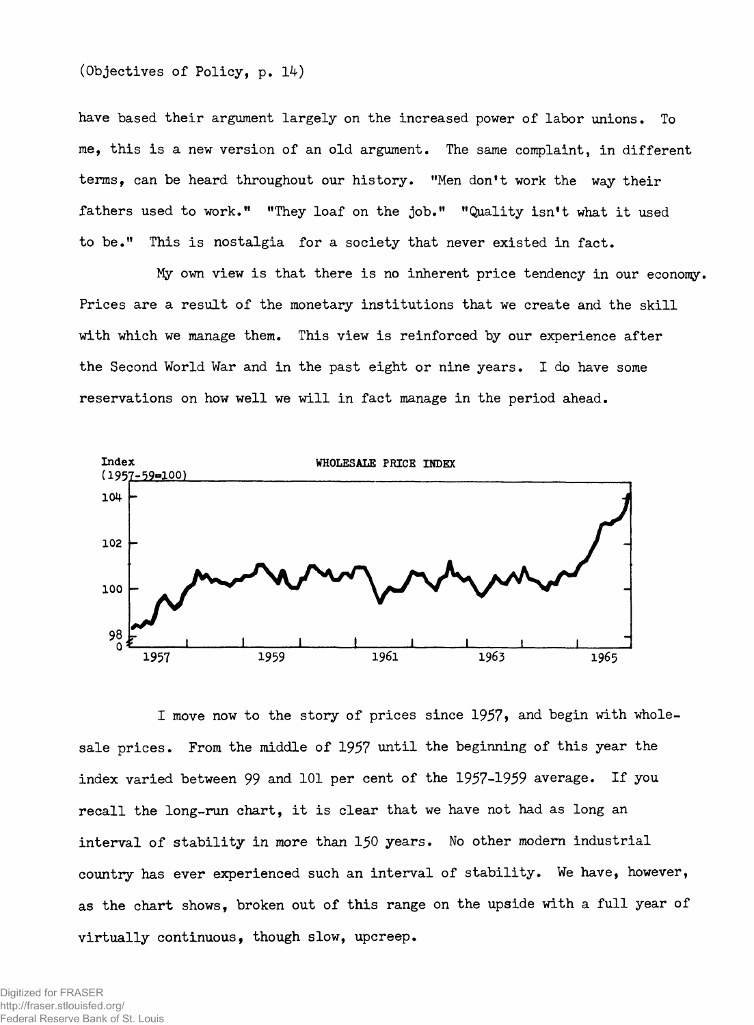**(Objectives of Policy, p. 14)**

**have based their argument largely on the increased power of labor unions. To me, this is a new version of an old argument. The same complaint, in different terms, can be heard throughout our history. "Men don't work the way their fathers used to work." "They loaf on the job." "Quality isn't what it used to be." This is nostalgia for a society that never existed in fact.**

**My own view is that there is no inherent price tendency in our economy. Prices are a result of the monetary institutions that we create and the skill with which we manage them. This view is reinforced by our experience after the Second World War and in the past eight or nine years. I do have some reservations on how well we will in fact manage in the period ahead.**



**I move now to the story of prices since 1957» and begin with wholesale prices. From the middle of 1957 until the beginning of this year the index varied between 99 and 101 per cent of the 1957-1959 average. If you recall the long-run chart, it is clear that we have not had as long an interval of stability in more than 150 years. No other modern industrial country has ever experienced such an interval of stability. We have, however, as the chart shows, broken out of this range on the upside with a full year of virtually continuous, though slow, upcreep.**

Digitized for FRASER http://fraser.stlouisfed.org/ Federal Reserve Bank of St. Louis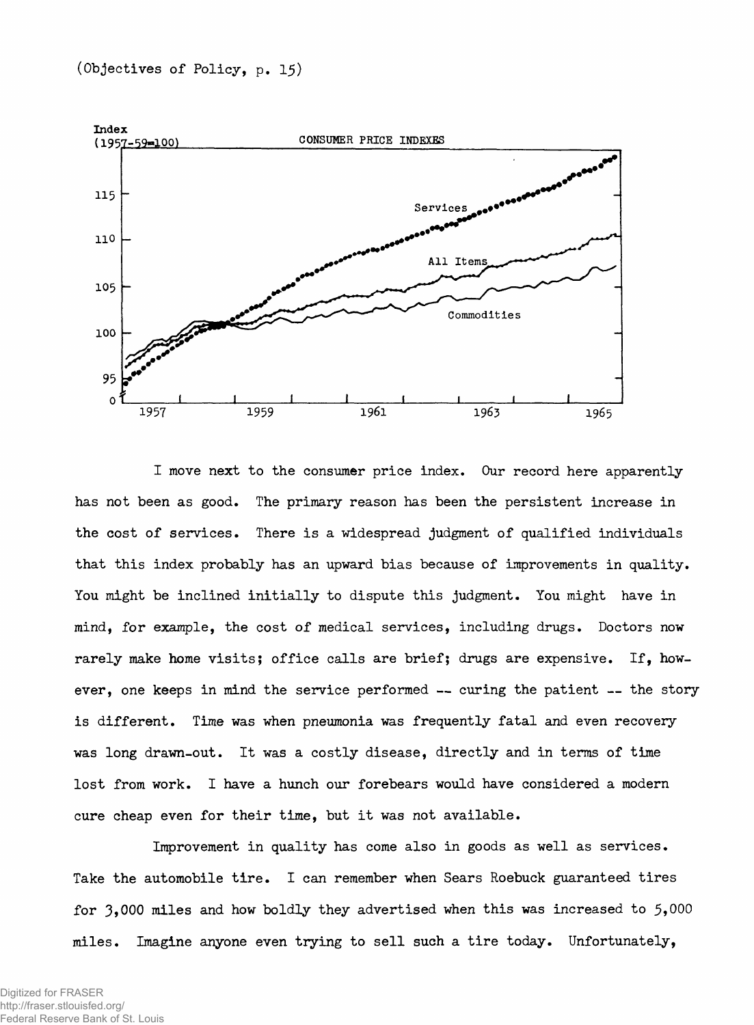

**I move next to the consumer price index. Our record here apparently has not been as good. The primary reason has been the persistent increase in the cost of services. There is a widespread judgment of qualified individuals that this index probably has an upward bias because of improvements in quality. You might be inclined initially to dispute this judgment. You might have in mind, for example, the cost of medical services, including drugs. Doctors now rarely make home visits; office calls are brief; drugs are expensive. If, however, one keeps in mind the service performed — curing the patient — the story is different. Time was when pneumonia was frequently fatal and even recovery was long drawn-out. It was a costly disease, directly and in terms of time lost from work. I have a hunch our forebears would have considered a modem cure cheap even for their time, but it was not available.**

**Improvement in quality has come also in goods as well as services. Take the automobile tire. I can remember when Sears Roebuck guaranteed tires for 3,000 miles and how boldly they advertised when this was increased to 5»000 miles. Imagine anyone even trying to sell such a tire today. Unfortunately,**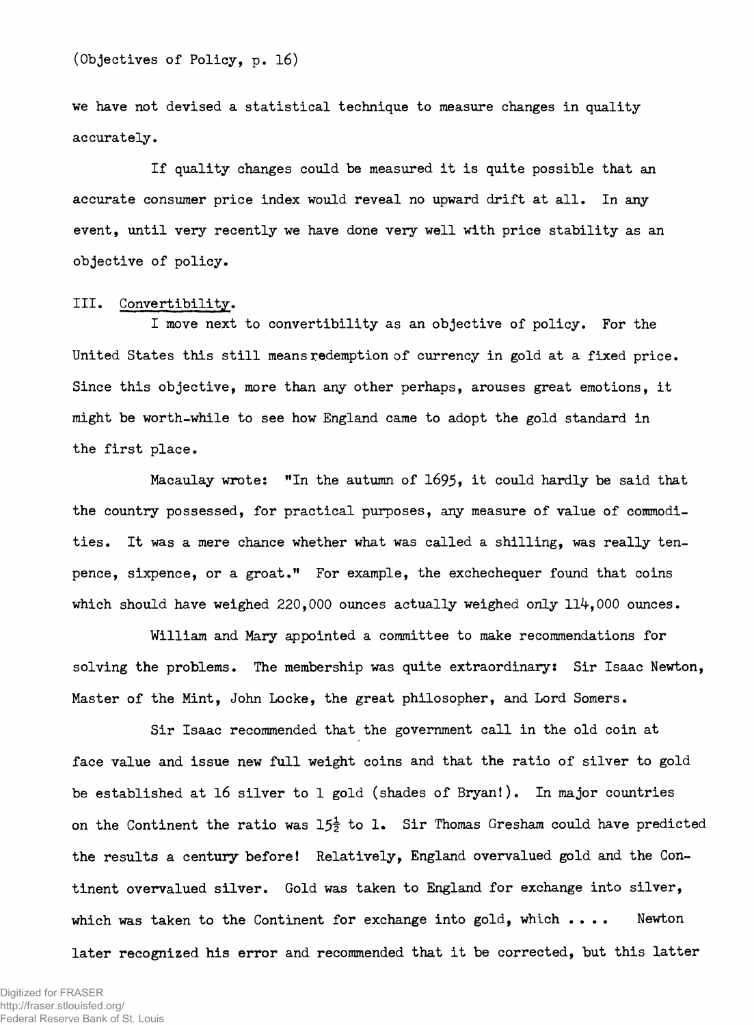**we have not devised a statistical technique to measure changes in quality accurately.**

**If quality changes could be measured it is quite possible that an accurate consumer price index would reveal no upward drift at all. In any event, until very recently we have done very well with price stability as an objective of policy.**

### **III. Convertibility.**

**I move next to convertibility as an objective of policy. For the United States this still means redemption of currency in gold at a fixed price. Since this objective, more than any other perhaps, arouses great emotions, it might be worth-while to see how England came to adopt the gold standard in the first place.**

**Macaulay wrote: "In the autumn of 1695» it could hardly be said that the country possessed, for practical purposes, any measure of value of commodities. It was a mere chance whether what was called a shilling, was really tenpence, sixpence, or a groat." For example, the exchechequer found that coins which should have weighed 220,000 ounces actually weighed only 114,000 ounces.**

**William and Mary appointed a committee to make recommendations for solving the problems. The membership was quite extraordinary: Sir Isaac Newton, Master of the Mint, John Locke, the great philosopher, and Lord Somers.**

**Sir Isaac recommended that the government call in the old coin at face value and issue new full weight coins and that the ratio of silver to gold be established at 16 silver to 1 gold (shades of Bryan!). In major countries** on the Continent the ratio was  $15\frac{1}{2}$  to 1. Sir Thomas Gresham could have predicted **the results a century before! Relatively, England overvalued gold and the Continent overvalued silver. Gold was taken to England for exchange into silver, which was taken to the Continent for exchange into gold, which .... Newton later recognized his error and recommended that it be corrected, but this latter**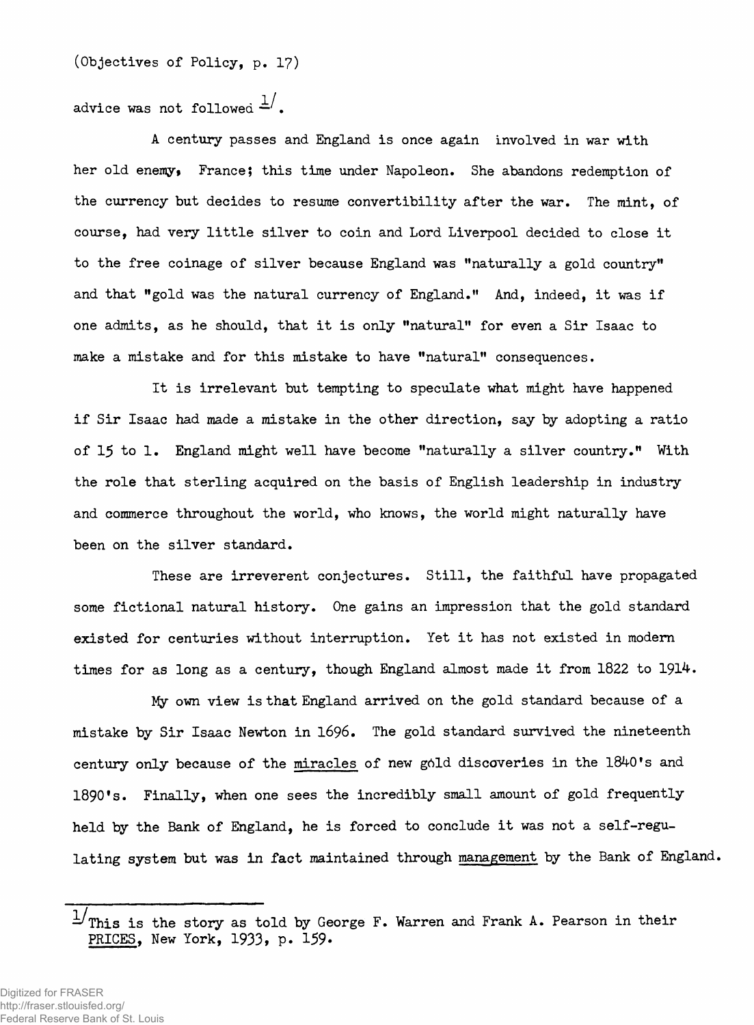**(Objectives of Policy, p. 17)**

advice was not followed  $\frac{1}{n}$ .

**A century passes and England is once again involved in war with her old enemy, France; this time under Napoleon. She abandons redemption of the currency but decides to resume convertibility after the war. The mint, of course, had very little silver to coin and Lord Liverpool decided to close it to the free coinage of silver because England was "naturally a gold country" and that "gold was the natural currency of England." And, indeed, it was if one admits, as he should, that it is only "natural" for even a Sir Isaac to make a mistake and for this mistake to have "natural" consequences.**

**It is irrelevant but tempting to speculate what might have happened if Sir Isaac had made a mistake in the other direction, say by adopting a ratio of 15 to 1. England might well have become "naturally a silver country." With the role that sterling acquired on the basis of English leadership in industry and commerce throughout the world, who knows, the world might naturally have been on the silver standard.**

**These are irreverent conjectures. Still, the faithful have propagated some fictional natural history. One gains an impression that the gold standard existed for centuries without interruption. Yet it has not existed in modern times for as long as a century, though England almost made it from 1822 to 1914.**

**My own view is that England arrived on the gold standard because of a mistake by Sir Isaac Newton in** 1696**. The gold standard survived the nineteenth century only because of the miracles of new g6ld discoveries in the 1840's and 1890's. Finally, when one sees the incredibly small amount of gold frequently held by the Bank of England, he is forced to conclude it was not a self-regulating system but was in fact maintained through management by the Bank of England.**

**This is the story as told by George F. Warren and Frank A. Pearson in their PRICES, New York, 1933, p. 159\***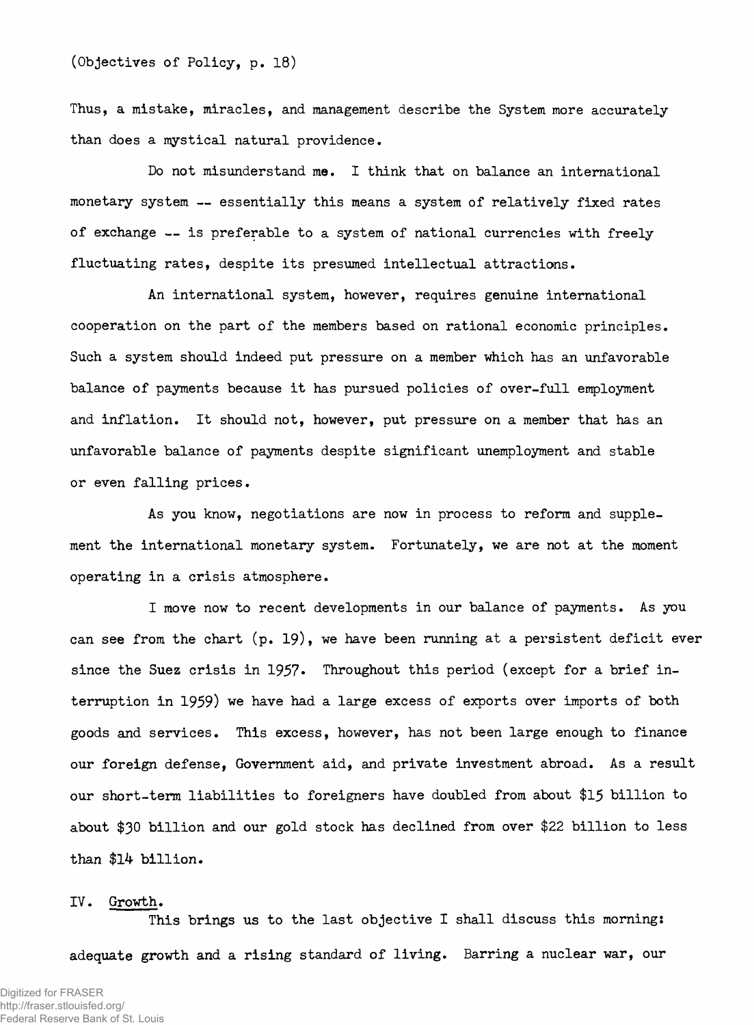**Thus, a mistake, miracles, and management describe the System more accurately than does a mystical natural providence.**

**Do not misunderstand me. I think that on balance an international monetary system — essentially this means a system of relatively fixed rates of exchange — is preferable to a system of national currencies with freely fluctuating rates, despite its presumed intellectual attractions.**

**An international system, however, requires genuine international cooperation on the part of the members based on rational economic principles. Such a system should indeed put pressure on a member which has an unfavorable balance of payments because it has pursued policies of over-full employment and inflation. It should not, however, put pressure on a member that has an unfavorable balance of payments despite significant unemployment and stable or even falling prices.**

**As you know, negotiations are now in process to reform and supplement the international monetary system. Fortunately, we are not at the moment operating in a crisis atmosphere.**

**I move now to recent developments in our balance of payments. As you can see from the chart (p.** 19**), we have been running at a persistent deficit ever since the Suez crisis in 1957» Throughout this period (except for a brief interruption in 1959) we have had a large excess of exports over imports of both goods and services. This excess, however, has not been large enough to finance our foreign defense, Government aid, and private investment abroad. As a result our short-term liabilities to foreigners have doubled from about** \$15 **billion to about** \$30 **billion and our gold stock has declined from over \$22 billion to less than \$14 billion.**

#### **IV. Growth.**

**This brings us to the last objective I shall discuss this mornings adequate growth and a rising standard of living. Barring a nuclear war, our**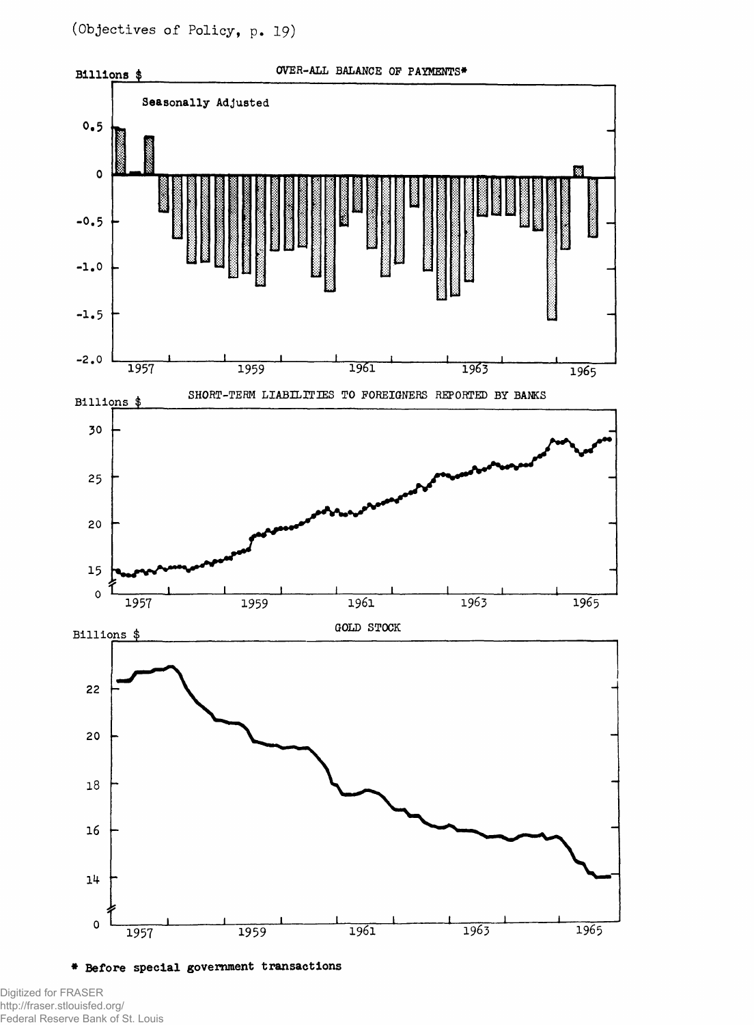

**\* Before special government transactions**

Digitized for FRASER http://fraser.stlouisfed.org/ Federal Reserve Bank of St. Louis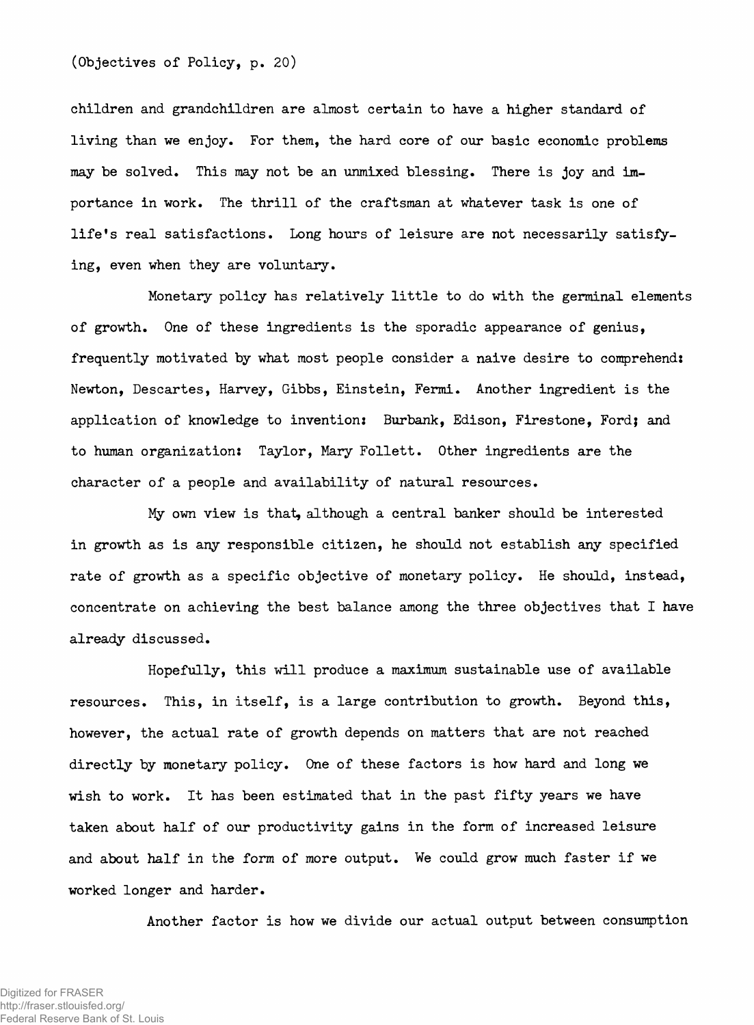**(Objectives of Policy, p. 20)**

**children and grandchildren are almost certain to have a higher standard of living than we enjoy. For them, the hard core of our basic economic problems may be solved. This may not be an unmixed blessing. There is joy and importance in work. The thrill of the craftsman at whatever task is one of life's real satisfactions. Long hours of leisure are not necessarily satisfying, even when they are voluntary.**

**Monetary policy has relatively little to do with the germinal elements of growth. One of these ingredients is the sporadic appearance of genius, frequently motivated by what most people consider a naive desire to comprehend: Newton, Descartes, Harvey, Gibbs, Einstein, Fermi. Another ingredient is the application of knowledge to invention: Burbank, Edison, Firestone, Ford; and to human organization: Taylor, Mary Follett. Other ingredients are the character of a people and availability of natural resources.**

**My own view is that, although a central banker should be interested in growth as is any responsible citizen, he should not establish any specified rate of growth as a specific objective of monetary policy. He should, instead, concentrate on achieving the best balance among the three objectives that I have already discussed.**

**Hopefully, this will produce a maximum sustainable use of available resources. This, in itself, is a large contribution to growth. Beyond this, however, the actual rate of growth depends on matters that are not reached directly by monetary policy. One of these factors is how hard and long we wish to work. It has been estimated that in the past fifty years we have taken about half of our productivity gains in the form of increased leisure and about half in the form of more output. We could grow much faster if we worked longer and harder.**

**Another factor is how we divide our actual output between consumption**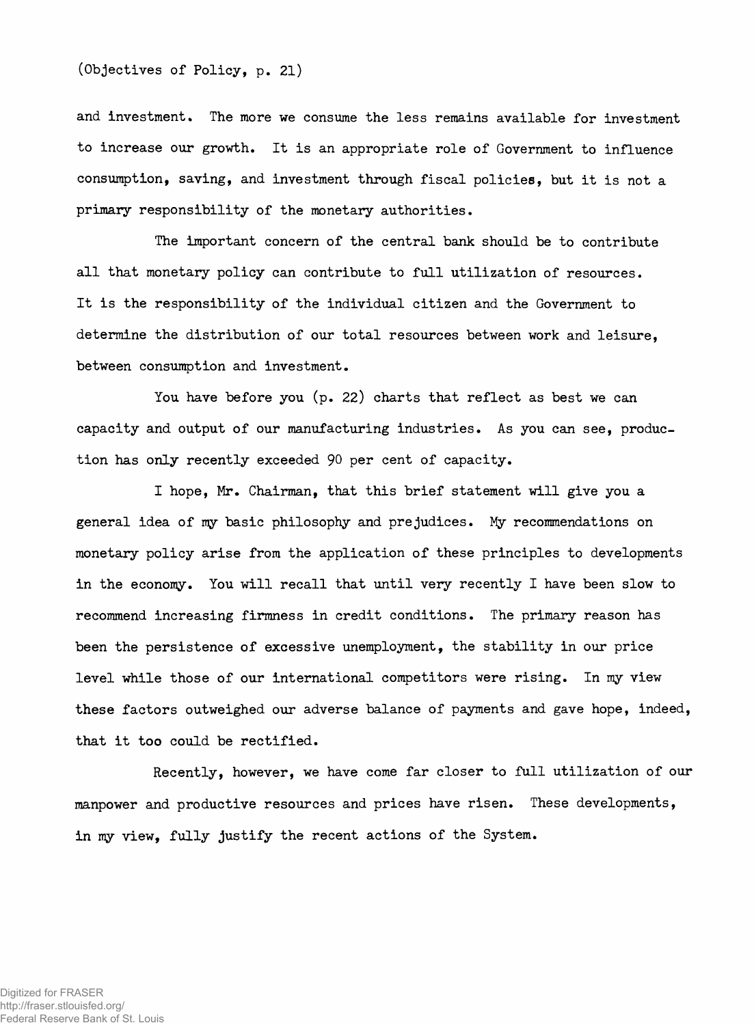**and investment. The more we consume the less remains available for investment to increase our growth. It is an appropriate role of Government to influence consumption, saving, and investment through fiscal policies, but it is not a primary responsibility of the monetary authorities.**

**The important concern of the central bank should be to contribute all that monetary policy can contribute to full utilization of resources. It is the responsibility of the individual citizen and the Government to determine the distribution of our total resources between work and leisure, between consumption and investment.**

**You have before you (p. 22) charts that reflect as best we can capacity and output of our manufacturing industries. As you can see, production has only recently exceeded** 90 **per cent of capacity.**

**I hope, Mr. Chairman, that this brief statement will give you a general idea of my basic philosophy and prejudices. My recommendations on monetary policy arise from the application of these principles to developments in the economy. You will recall that until very recently I have been slow to recommend increasing firmness in credit conditions. The primary reason has been the persistence of excessive unemployment, the stability in our price level while those of our international competitors were rising. In my view these factors outweighed our adverse balance of payments and gave hope, indeed, that it too could be rectified.**

**Recently, however, we have come far closer to full utilization of our manpower and productive resources and prices have risen. These developments, in my view, fully justify the recent actions of the System.**